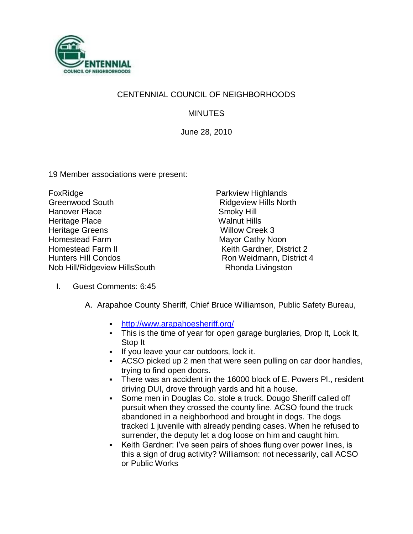

## CENTENNIAL COUNCIL OF NEIGHBORHOODS

**MINUTES** 

June 28, 2010

19 Member associations were present:

FoxRidge **Parkview Highlands** Greenwood South **Ridgeview Hills North** Hanover Place Smoky Hill<br>Heritage Place State Smoky Hills Heritage Place Heritage Greens Willow Creek 3 Homestead Farm Mayor Cathy Noon Homestead Farm II Keith Gardner, District 2 Hunters Hill Condos Ron Weidmann, District 4 Nob Hill/Ridgeview HillsSouth Rhonda Livingston

- I. Guest Comments: 6:45
	- A. Arapahoe County Sheriff, Chief Bruce Williamson, Public Safety Bureau,
		- <http://www.arapahoesheriff.org/>
		- This is the time of year for open garage burglaries, Drop It, Lock It, Stop It
		- If you leave your car outdoors, lock it.
		- ACSO picked up 2 men that were seen pulling on car door handles, trying to find open doors.
		- There was an accident in the 16000 block of E. Powers Pl., resident driving DUI, drove through yards and hit a house.
		- Some men in Douglas Co. stole a truck. Dougo Sheriff called off pursuit when they crossed the county line. ACSO found the truck abandoned in a neighborhood and brought in dogs. The dogs tracked 1 juvenile with already pending cases. When he refused to surrender, the deputy let a dog loose on him and caught him.
		- Keith Gardner: I've seen pairs of shoes flung over power lines, is this a sign of drug activity? Williamson: not necessarily, call ACSO or Public Works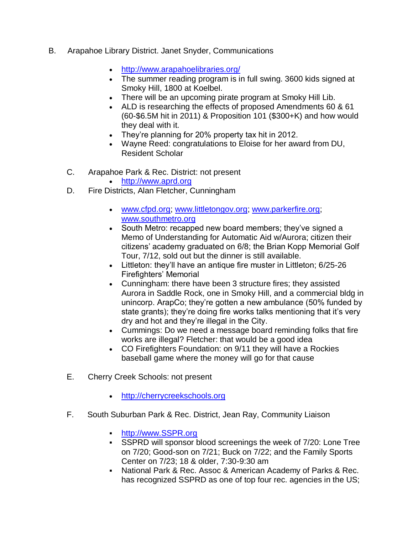- B. Arapahoe Library District. Janet Snyder, Communications
	- <http://www.arapahoelibraries.org/>
	- The summer reading program is in full swing. 3600 kids signed at Smoky Hill, 1800 at Koelbel.
	- There will be an upcoming pirate program at Smoky Hill Lib.
	- ALD is researching the effects of proposed Amendments 60 & 61 (60-\$6.5M hit in 2011) & Proposition 101 (\$300+K) and how would they deal with it.
	- They're planning for 20% property tax hit in 2012.
	- Wayne Reed: congratulations to Eloise for her award from DU, Resident Scholar
	- C. Arapahoe Park & Rec. District: not present
		- http:/[/www.aprd.org](http://www.aprd.org/)
	- D. Fire Districts, Alan Fletcher, Cunningham
		- [www.cfpd.org;](http://www.cfpd.org/) [www.littletongov.org;](http://www.littletongov.org/) [www.parkerfire.org;](http://www.parkerfire.org/) [www.southmetro.org](http://www.southmetro.org/)
		- South Metro: recapped new board members; they've signed a Memo of Understanding for Automatic Aid w/Aurora; citizen their citizens' academy graduated on 6/8; the Brian Kopp Memorial Golf Tour, 7/12, sold out but the dinner is still available.
		- Littleton: they'll have an antique fire muster in Littleton; 6/25-26 Firefighters' Memorial
		- Cunningham: there have been 3 structure fires; they assisted Aurora in Saddle Rock, one in Smoky Hill, and a commercial bldg in unincorp. ArapCo; they're gotten a new ambulance (50% funded by state grants); they're doing fire works talks mentioning that it's very dry and hot and they're illegal in the City.
		- Cummings: Do we need a message board reminding folks that fire works are illegal? Fletcher: that would be a good idea
		- CO Firefighters Foundation: on 9/11 they will have a Rockies baseball game where the money will go for that cause
	- E. Cherry Creek Schools: not present
		- [http://cherrycreekschools.org](http://cherrycreekschools.org/)
	- F. South Suburban Park & Rec. District, Jean Ray, Community Liaison
		- [http://www.SSPR.org](http://www.sspr.org/)
		- SSPRD will sponsor blood screenings the week of 7/20: Lone Tree on 7/20; Good-son on 7/21; Buck on 7/22; and the Family Sports Center on 7/23; 18 & older, 7:30-9:30 am
		- National Park & Rec. Assoc & American Academy of Parks & Rec. has recognized SSPRD as one of top four rec. agencies in the US;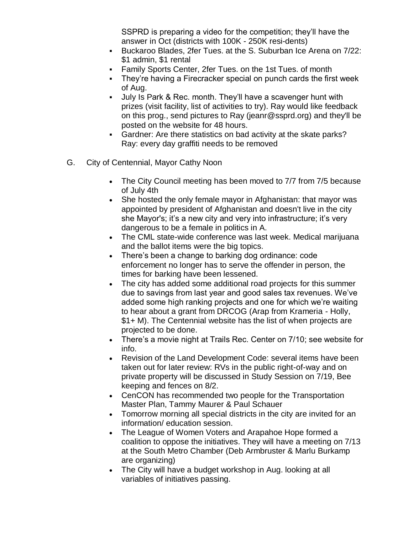SSPRD is preparing a video for the competition; they'll have the answer in Oct (districts with 100K - 250K resi-dents)

- Buckaroo Blades, 2fer Tues. at the S. Suburban Ice Arena on 7/22: \$1 admin, \$1 rental
- Family Sports Center, 2fer Tues. on the 1st Tues. of month
- **They're having a Firecracker special on punch cards the first week** of Aug.
- July Is Park & Rec. month. They'll have a scavenger hunt with prizes (visit facility, list of activities to try). Ray would like feedback on this prog., send pictures to Ray (jeanr@ssprd.org) and they'll be posted on the website for 48 hours.
- Gardner: Are there statistics on bad activity at the skate parks? Ray: every day graffiti needs to be removed
- G. City of Centennial, Mayor Cathy Noon
	- The City Council meeting has been moved to 7/7 from 7/5 because of July 4th
	- She hosted the only female mayor in Afghanistan: that mayor was appointed by president of Afghanistan and doesn't live in the city she Mayor's; it's a new city and very into infrastructure; it's very dangerous to be a female in politics in A.
	- The CML state-wide conference was last week. Medical marijuana and the ballot items were the big topics.
	- There's been a change to barking dog ordinance: code enforcement no longer has to serve the offender in person, the times for barking have been lessened.
	- The city has added some additional road projects for this summer due to savings from last year and good sales tax revenues. We've added some high ranking projects and one for which we're waiting to hear about a grant from DRCOG (Arap from Krameria - Holly, \$1+ M). The Centennial website has the list of when projects are projected to be done.
	- There's a movie night at Trails Rec. Center on 7/10; see website for info.
	- Revision of the Land Development Code: several items have been taken out for later review: RVs in the public right-of-way and on private property will be discussed in Study Session on 7/19, Bee keeping and fences on 8/2.
	- CenCON has recommended two people for the Transportation Master Plan, Tammy Maurer & Paul Schauer
	- Tomorrow morning all special districts in the city are invited for an information/ education session.
	- The League of Women Voters and Arapahoe Hope formed a coalition to oppose the initiatives. They will have a meeting on 7/13 at the South Metro Chamber (Deb Armbruster & Marlu Burkamp are organizing)
	- The City will have a budget workshop in Aug. looking at all variables of initiatives passing.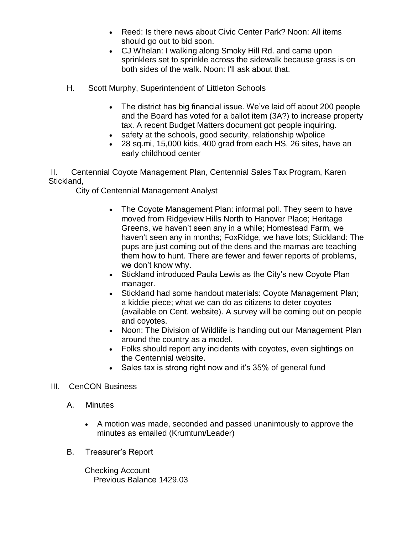- Reed: Is there news about Civic Center Park? Noon: All items should go out to bid soon.
- CJ Whelan: I walking along Smoky Hill Rd. and came upon sprinklers set to sprinkle across the sidewalk because grass is on both sides of the walk. Noon: I'll ask about that.
- H. Scott Murphy, Superintendent of Littleton Schools
	- The district has big financial issue. We've laid off about 200 people and the Board has voted for a ballot item (3A?) to increase property tax. A recent Budget Matters document got people inquiring.
	- safety at the schools, good security, relationship w/police
	- 28 sq.mi, 15,000 kids, 400 grad from each HS, 26 sites, have an early childhood center

II. Centennial Coyote Management Plan, Centennial Sales Tax Program, Karen Stickland,

City of Centennial Management Analyst

- The Coyote Management Plan: informal poll. They seem to have moved from Ridgeview Hills North to Hanover Place; Heritage Greens, we haven't seen any in a while; Homestead Farm, we haven't seen any in months; FoxRidge, we have lots; Stickland: The pups are just coming out of the dens and the mamas are teaching them how to hunt. There are fewer and fewer reports of problems, we don't know why.
- Stickland introduced Paula Lewis as the City's new Coyote Plan manager.
- Stickland had some handout materials: Coyote Management Plan; a kiddie piece; what we can do as citizens to deter coyotes (available on Cent. website). A survey will be coming out on people and coyotes.
- Noon: The Division of Wildlife is handing out our Management Plan around the country as a model.
- Folks should report any incidents with coyotes, even sightings on the Centennial website.
- Sales tax is strong right now and it's 35% of general fund

## III. CenCON Business

- A. Minutes
	- A motion was made, seconded and passed unanimously to approve the minutes as emailed (Krumtum/Leader)
- B. Treasurer's Report

 Checking Account Previous Balance 1429.03